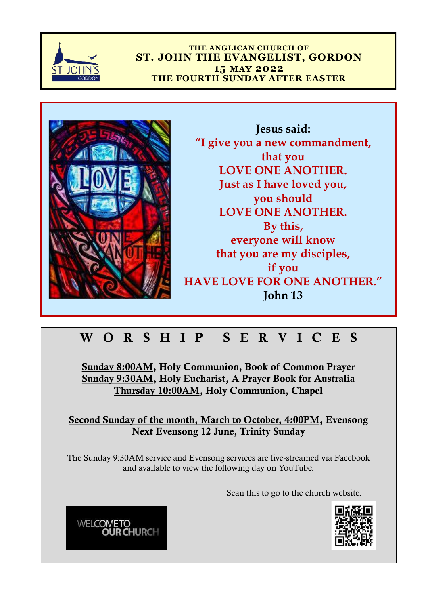

**THE ANGLICAN CHURCH OF ST. JOHN THE EVANGELIST, GORDON 15 may 2022 THE FOURTH SUNDAY AFTER EASTER**



**Jesus said: "I give you a new commandment, that you LOVE ONE ANOTHER. Just as I have loved you, you should LOVE ONE ANOTHER. By this, everyone will know that you are my disciples, if you HAVE LOVE FOR ONE ANOTHER." John 13**

## W O R S H I P S E R V I C E S

Sunday 8:00AM, Holy Communion, Book of Common Prayer Sunday 9:30AM, Holy Eucharist, A Prayer Book for Australia Thursday 10:00AM, Holy Communion, Chapel

Second Sunday of the month, March to October, 4:00PM, Evensong Next Evensong 12 June, Trinity Sunday

The Sunday 9:30AM service and Evensong services are live-streamed via Facebook and available to view the following day on YouTube.

Scan this to go to the church website.



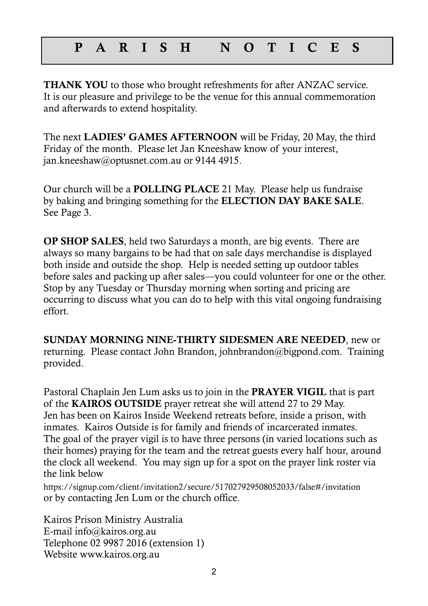### P A R I S H N O T I C E S

THANK YOU to those who brought refreshments for after ANZAC service. It is our pleasure and privilege to be the venue for this annual commemoration and afterwards to extend hospitality.

The next LADIES' GAMES AFTERNOON will be Friday, 20 May, the third Friday of the month. Please let Jan Kneeshaw know of your interest, jan.kneeshaw@optusnet.com.au or 9144 4915.

Our church will be a POLLING PLACE 21 May. Please help us fundraise by baking and bringing something for the ELECTION DAY BAKE SALE. See Page 3.

OP SHOP SALES, held two Saturdays a month, are big events. There are always so many bargains to be had that on sale days merchandise is displayed both inside and outside the shop. Help is needed setting up outdoor tables before sales and packing up after sales—you could volunteer for one or the other. Stop by any Tuesday or Thursday morning when sorting and pricing are occurring to discuss what you can do to help with this vital ongoing fundraising effort.

SUNDAY MORNING NINE-THIRTY SIDESMEN ARE NEEDED, new or returning. Please contact John Brandon, johnbrandon@bigpond.com. Training provided.

Pastoral Chaplain Jen Lum asks us to join in the PRAYER VIGIL that is part of the KAIROS OUTSIDE prayer retreat she will attend 27 to 29 May. Jen has been on Kairos Inside Weekend retreats before, inside a prison, with inmates. Kairos Outside is for family and friends of incarcerated inmates. The goal of the prayer vigil is to have three persons (in varied locations such as their homes) praying for the team and the retreat guests every half hour, around the clock all weekend. You may sign up for a spot on the prayer link roster via the link below

<https://signup.com/client/invitation2/secure/517027929508052033/false#/invitation> or by contacting Jen Lum or the church office.

Kairos Prison Ministry Australia E-mail info@kairos.org.au Telephone 02 9987 2016 (extension 1) Website www.kairos.org.au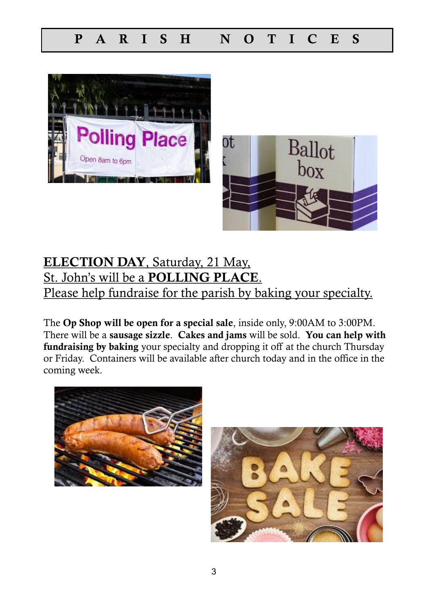



## ELECTION DAY, Saturday, 21 May, St. John's will be a POLLING PLACE. Please help fundraise for the parish by baking your specialty.

The Op Shop will be open for a special sale, inside only, 9:00AM to 3:00PM. There will be a sausage sizzle. Cakes and jams will be sold. You can help with fundraising by baking your specialty and dropping it off at the church Thursday or Friday. Containers will be available after church today and in the office in the coming week.



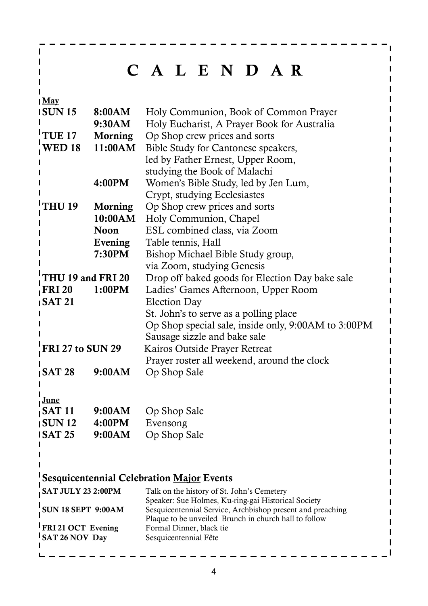# C A L E N D A R

May

 $\mathbf{I}$  $\mathbf{I}$ Т П  $\mathbf{I}$ 

| <b>ISUN15</b>                | 8:00AM         | Holy Communion, Book of Common Prayer                                             |  |
|------------------------------|----------------|-----------------------------------------------------------------------------------|--|
|                              | 9:30AM         | Holy Eucharist, A Prayer Book for Australia                                       |  |
| TUE <sub>17</sub>            | <b>Morning</b> | Op Shop crew prices and sorts                                                     |  |
| <b>WED 18</b>                | 11:00AM        | Bible Study for Cantonese speakers,                                               |  |
|                              |                | led by Father Ernest, Upper Room,                                                 |  |
|                              |                | studying the Book of Malachi                                                      |  |
|                              | 4:00PM         | Women's Bible Study, led by Jen Lum,                                              |  |
|                              |                | Crypt, studying Ecclesiastes                                                      |  |
| 'THU 19<br><b>Morning</b>    |                | Op Shop crew prices and sorts                                                     |  |
|                              | 10:00AM        | Holy Communion, Chapel                                                            |  |
|                              | <b>Noon</b>    | ESL combined class, via Zoom                                                      |  |
|                              | Evening        | Table tennis, Hall                                                                |  |
|                              | 7:30PM         | Bishop Michael Bible Study group,                                                 |  |
|                              |                | via Zoom, studying Genesis                                                        |  |
| THU 19 and FRI 20            |                | Drop off baked goods for Election Day bake sale                                   |  |
| $\int$ FRI 20<br>1:00PM      |                | Ladies' Games Afternoon, Upper Room                                               |  |
| $\sqrt{\text{SAT 21}}$       |                | <b>Election Day</b>                                                               |  |
|                              |                | St. John's to serve as a polling place                                            |  |
|                              |                | Op Shop special sale, inside only, 9:00AM to 3:00PM                               |  |
|                              |                | Sausage sizzle and bake sale                                                      |  |
| <b>FRI 27 to SUN 29</b>      |                | Kairos Outside Prayer Retreat                                                     |  |
|                              |                | Prayer roster all weekend, around the clock                                       |  |
| $\overline{\text{SAT 28}}$   | 9:00AM         | Op Shop Sale                                                                      |  |
|                              |                |                                                                                   |  |
|                              |                |                                                                                   |  |
| <u>June</u><br>$\int$ SAT 11 | 9:00AM         | Op Shop Sale                                                                      |  |
| $\sqrt{15}$                  | 4:00PM         | Evensong                                                                          |  |
| <b>ISAT 25</b>               | 9:00AM         | Op Shop Sale                                                                      |  |
|                              |                |                                                                                   |  |
|                              |                |                                                                                   |  |
|                              |                |                                                                                   |  |
|                              |                | <b>Sesquicentennial Celebration Major Events</b>                                  |  |
| SAT JULY 23 2:00PM           |                | Talk on the history of St. John's Cemetery                                        |  |
|                              |                | Speaker: Sue Holmes, Ku-ring-gai Historical Society                               |  |
| <b>SUN 18 SEPT 9:00AM</b>    |                | Sesquicentennial Service, Archbishop present and preaching                        |  |
| <b>FRI21 OCT Evening</b>     |                | Plaque to be unveiled Brunch in church hall to follow<br>Formal Dinner, black tie |  |

SAT 26 NOV Day Sesquicentennial Fête